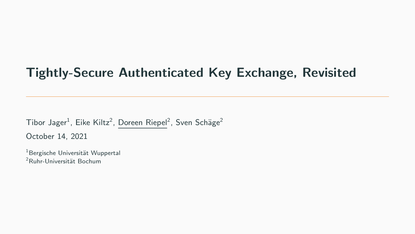# Tightly-Secure Authenticated Key Exchange, Revisited

 ${\rm Tibor\,\, Jager}^1$ , Eike Kiltz $^2$ , Doreen Riepel $^2$ , Sven Schäge $^2$ October 14, 2021

<sup>1</sup> Bergische Universität Wuppertal <sup>2</sup>Ruhr-Universität Bochum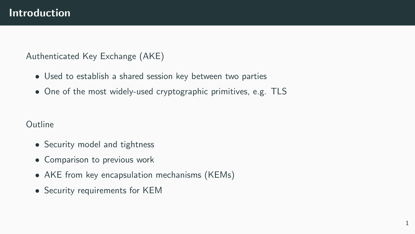#### Authenticated Key Exchange (AKE)

- Used to establish a shared session key between two parties
- One of the most widely-used cryptographic primitives, e.g. TLS

#### **Outline**

- Security model and tightness
- Comparison to previous work
- AKE from key encapsulation mechanisms (KEMs)
- Security requirements for KEM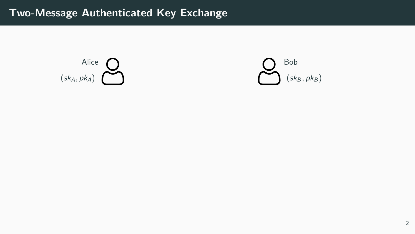

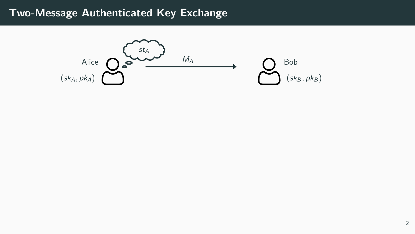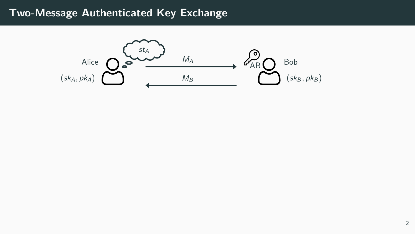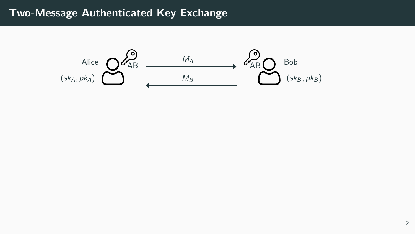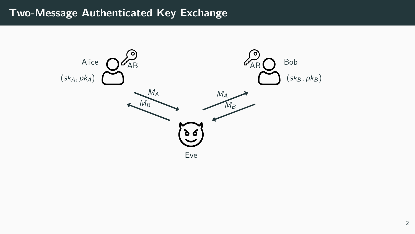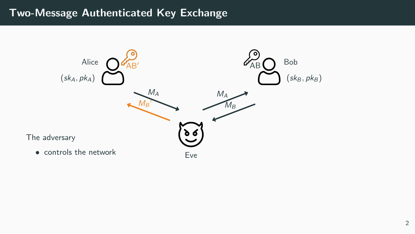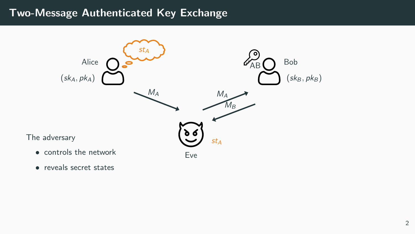

• reveals secret states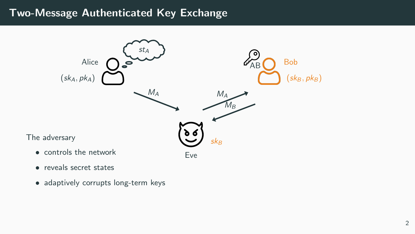

- reveals secret states
- adaptively corrupts long-term keys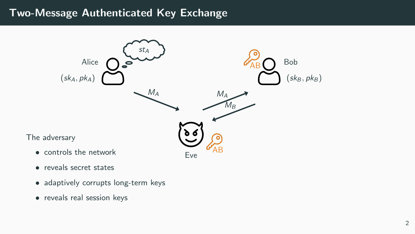

- reveals secret states
- adaptively corrupts long-term keys
- reveals real session keys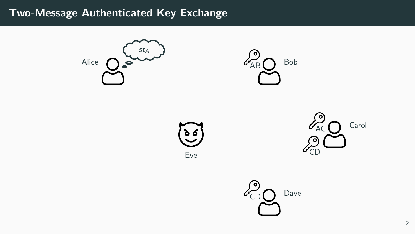



Eve



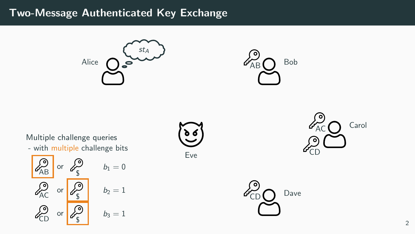



Multiple challenge queries

- with multiple challenge bits

$$
b_1 = 0
$$
\n
$$
c_{AB} = 0
$$
\n
$$
c_{AC} = 0
$$
\n
$$
c_{AC} = 0
$$
\n
$$
c_{CD} = 0
$$
\n
$$
c_{CD} = 0
$$
\n
$$
c_{CD} = 0
$$
\n
$$
c_{CD} = 0
$$
\n
$$
c_{CD} = 0
$$
\n
$$
c_{CD} = 0
$$
\n
$$
b_1 = 0
$$
\n
$$
b_2 = 1
$$
\n
$$
b_3 = 1
$$





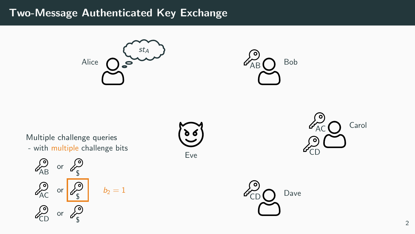



Multiple challenge queries

- with multiple challenge bits

$$
\mathcal{L}_{AB}^{\circ} \text{ or } \mathcal{L}_{S}^{\circ}
$$
\n
$$
\mathcal{L}_{AC}^{\circ} \text{ or } \mathcal{L}_{S}^{\circ}
$$
\n
$$
\mathcal{L}_{CD}^{\circ} \text{ or } \mathcal{L}_{S}^{\circ}
$$
\n
$$
\mathcal{L}_{CD}^{\circ} \text{ or } \mathcal{L}_{S}^{\circ}
$$

Eve



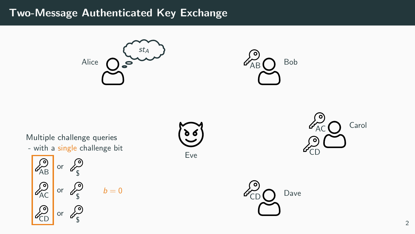



- with a single challenge bit Multiple challenge queries

 $AB$  or  $B_5$  $AC$  or  $C_5$  $\frac{25}{5}$  or  $\frac{2}{5}$  $b = 0$ 

![](_page_14_Picture_5.jpeg)

![](_page_14_Picture_6.jpeg)

![](_page_14_Picture_7.jpeg)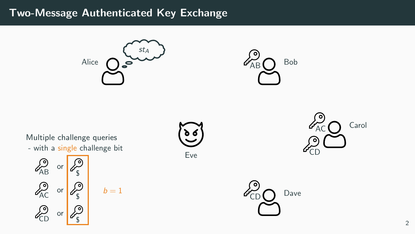![](_page_15_Picture_1.jpeg)

 $b=1$ 

![](_page_15_Picture_2.jpeg)

- with a single challenge bit Multiple challenge queries

$$
\begin{array}{c}\n\sqrt{\lambda_{AB}} & \text{or} \\
\sqrt{\lambda_{AC}} & \text{or} \\
\sqrt{\lambda_{AC}} & \text{or} \\
\sqrt{\lambda_{B}} & \text{or} \\
\sqrt{\lambda_{B}} & \text{or} \\
\sqrt{\lambda_{B}} & \text{or} \\
\sqrt{\lambda_{B}} & \text{or} \\
\sqrt{\lambda_{B}} & \text{or} \\
\sqrt{\lambda_{B}} & \text{or} \\
\sqrt{\lambda_{B}} & \text{or} \\
\sqrt{\lambda_{B}} & \text{or} \\
\sqrt{\lambda_{B}} & \text{or} \\
\sqrt{\lambda_{B}} & \text{or} \\
\sqrt{\lambda_{B}} & \text{or} \\
\sqrt{\lambda_{B}} & \text{or} \\
\sqrt{\lambda_{B}} & \text{or} \\
\sqrt{\lambda_{B}} & \text{or} \\
\sqrt{\lambda_{B}} & \text{or} \\
\sqrt{\lambda_{B}} & \text{or} \\
\sqrt{\lambda_{B}} & \text{or} \\
\sqrt{\lambda_{B}} & \text{or} \\
\sqrt{\lambda_{B}} & \text{or} \\
\sqrt{\lambda_{B}} & \text{or} \\
\sqrt{\lambda_{B}} & \text{or} \\
\sqrt{\lambda_{B}} & \text{or} \\
\sqrt{\lambda_{B}} & \text{or} \\
\sqrt{\lambda_{B}} & \text{or} \\
\sqrt{\lambda_{B}} & \text{or} \\
\sqrt{\lambda_{B}} & \text{or} \\
\sqrt{\lambda_{B}} & \text{or} \\
\sqrt{\lambda_{B}} & \text{or} \\
\sqrt{\lambda_{B}} & \text{or} \\
\sqrt{\lambda_{B}} & \text{or} \\
\sqrt{\lambda_{B}} & \text{or} \\
\sqrt{\lambda_{B}} & \text{or} \\
\sqrt{\lambda_{B}} & \text{or} \\
\sqrt{\lambda_{B}} & \text{or} \\
\sqrt{\lambda_{B}} & \text{or} \\
\sqrt{\lambda_{B}} & \text{or} \\
\sqrt{\lambda_{B}} & \text{or} \\
\sqrt{\lambda_{B}} & \text{or} \\
\sqrt{\lambda_{B}} & \text{or} \\
\sqrt{\lambda_{B}} & \text{or} \\
\sqrt{\lambda_{B}} & \text{or} \\
\sqrt{\lambda_{B}} & \text{or} \\
\sqrt{\lambda_{B}} & \text{or} \\
\sqrt{\lambda_{B}} & \text{or} \\
\sqrt{\lambda_{B}} & \text{or} \\
\sqrt{\lambda_{B}} & \text{or} \\
\sqrt{\lambda_{B}} & \text{or} \\
\sqrt{\lambda_{B}} & \text{or} \\
\sqrt{\lambda_{B}} & \text{or} \\
\sqrt{\lambda_{B}} & \text{or} \\
\sqrt{\lambda_{B}} & \text
$$

Eve

![](_page_15_Picture_6.jpeg)

![](_page_15_Picture_7.jpeg)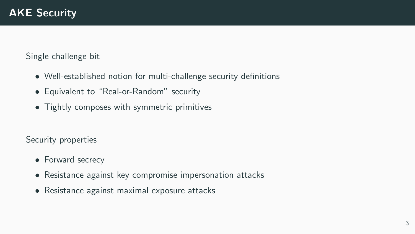Single challenge bit

- Well-established notion for multi-challenge security definitions
- Equivalent to "Real-or-Random" security
- Tightly composes with symmetric primitives

Security properties

- Forward secrecy
- Resistance against key compromise impersonation attacks
- Resistance against maximal exposure attacks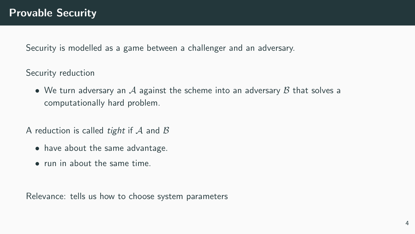Security is modelled as a game between a challenger and an adversary.

Security reduction

• We turn adversary an A against the scheme into an adversary  $\beta$  that solves a computationally hard problem.

A reduction is called *tight* if  $A$  and  $B$ 

- have about the same advantage.
- run in about the same time.

Relevance: tells us how to choose system parameters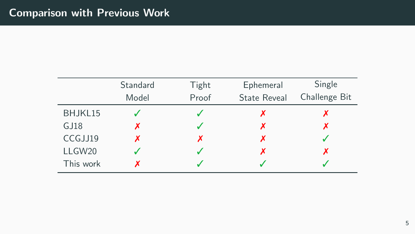|           | Standard | Tight | Ephemeral           | Single        |
|-----------|----------|-------|---------------------|---------------|
|           | Model    | Proof | <b>State Reveal</b> | Challenge Bit |
| BHJKL15   |          |       |                     |               |
| GJ18      |          |       |                     |               |
| CCGJJ19   |          |       |                     |               |
| LLGW20    |          |       |                     |               |
| This work |          |       |                     |               |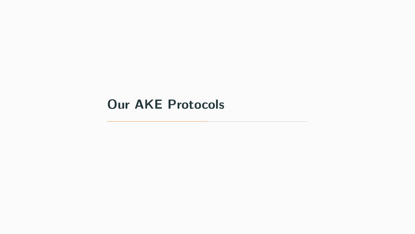# <span id="page-19-0"></span>[Our AKE Protocols](#page-19-0)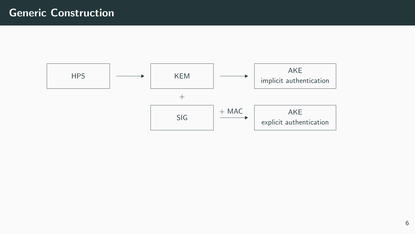![](_page_20_Figure_1.jpeg)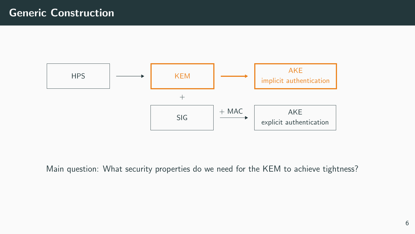![](_page_21_Figure_1.jpeg)

Main question: What security properties do we need for the KEM to achieve tightness?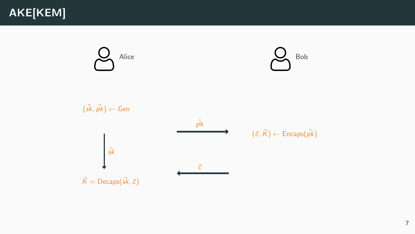![](_page_22_Figure_1.jpeg)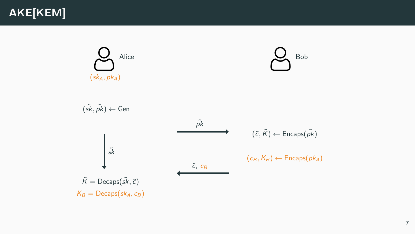![](_page_23_Picture_0.jpeg)

![](_page_23_Figure_1.jpeg)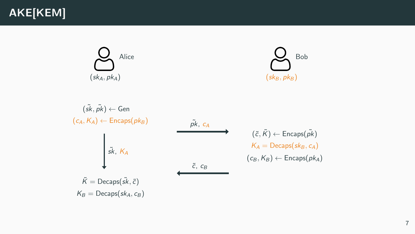## AKE[KEM]

![](_page_24_Figure_1.jpeg)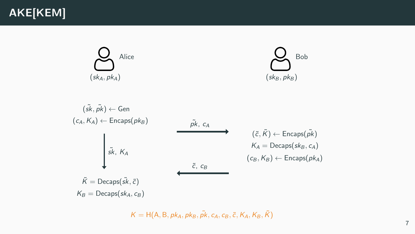## AKE[KEM]

![](_page_25_Figure_1.jpeg)

$$
(\tilde{s}\tilde{k}, \tilde{p}\tilde{k}) \leftarrow \text{Gen}
$$
\n
$$
(c_A, K_A) \leftarrow \text{Encaps}(pk_B)
$$
\n
$$
\tilde{pk}, K_A
$$
\n
$$
\tilde{k} = \text{Decaps}(\tilde{s}\tilde{k}, \tilde{c})
$$
\n
$$
\tilde{k} = \text{Decaps}(\tilde{s}\tilde{k}, \tilde{c})
$$
\n
$$
K_B = \text{Decaps}(sk_A, c_B)
$$
\n
$$
(c_B, K_B) \leftarrow \text{Encaps}(pk_A)
$$

 $K = H(A, B, pk_A, pk_B, \tilde{pk}, c_A, c_B, \tilde{c}, K_A, K_B, \tilde{K})$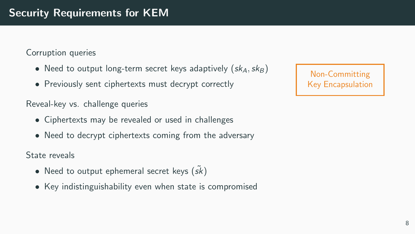Corruption queries

- Need to output long-term secret keys adaptively  $(sk_A, sk_B)$
- Previously sent ciphertexts must decrypt correctly

Reveal-key vs. challenge queries

- Ciphertexts may be revealed or used in challenges
- Need to decrypt ciphertexts coming from the adversary

State reveals

- Need to output ephemeral secret keys  $(s\tilde{k})$
- Key indistinguishability even when state is compromised

Non-Committing Key Encapsulation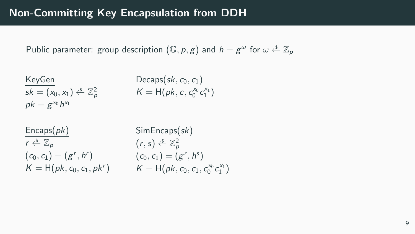#### Non-Committing Key Encapsulation from DDH

Public parameter: group description  $(\mathbb{G}, p, g)$  and  $h = g^{\omega}$  for  $\omega \stackrel{s}{\leftarrow} \mathbb{Z}_p$ 

$$
KeyGen\nsk = (x0, x1) \xleftarrow{s} \mathbb{Z}_p^2
$$
\n
$$
pk = g^{x_0} h^{x_1}
$$
\n
$$
P = 100k, c, c_0^{x_0} c_1^{x_1}
$$

| Encaps(pk)                                         | Sii    |
|----------------------------------------------------|--------|
| $r \stackrel{\mathsf{s}}{\leftarrow} \mathbb{Z}_p$ | (r,    |
| $(c_0, c_1) = (g^r, h^r)$                          | $(c_0$ |
| $K = H(pk, c_0, c_1, pk^r)$                        | K      |

$$
\frac{\text{SimEncaps}(sk)}{(r,s) \stackrel{\text{s.}}{\leftarrow} \mathbb{Z}_p^2} \\ (c_0, c_1) = (g^r, h^s) \\ K = H(pk, c_0, c_1, c_0^{\text{x_0}} c_1^{\text{x_1}})
$$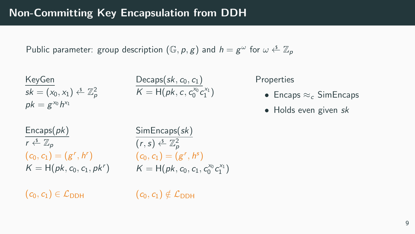Public parameter: group description  $(\mathbb{G}, p, g)$  and  $h = g^{\omega}$  for  $\omega \stackrel{s}{\leftarrow} \mathbb{Z}_p$ 

$$
KeyGen\nsk = (x0, x1) \xleftarrow{s} \mathbb{Z}_p^2
$$
\n
$$
pk = g^{x_0} h^{x_1}
$$
\n
$$
P(k) = 1 - \frac{1}{2} \left( \frac{1}{2} \right)
$$
\n
$$
P(k) = 1 - \frac{1}{2} \left( \frac{1}{2} \right)
$$
\n
$$
P(k) = 1 - \frac{1}{2} \left( \frac{1}{2} \right)
$$

**Properties** 

- Encaps  $\approx_c$  SimEncaps
- Holds even given sk

 $Encaps(pk)$  $r \stackrel{\$}{\leftarrow} \mathbb{Z}_n$  $(c_0, c_1) = (g^r, h^r)$   $(c_0, c_1) = (g^r, h^s)$ 

 $K = H(pk, c_0, c_1, pk^r)$   $K = H(pk, c_0, c_1, c_0^{x_0} c_1^{x_1})$ SimEncaps(sk)  $(r, s) \overset{\mathsf{s}}{\leftarrow} \mathbb{Z}_p^2$ 

 $(c_0, c_1) \in \mathcal{L}_{\text{DDH}}$ 

 $(c_0, c_1) \notin \mathcal{L}_{\text{DDH}}$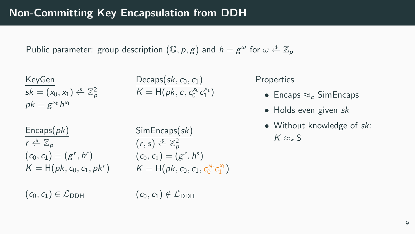Public parameter: group description  $(\mathbb{G}, p, g)$  and  $h = g^{\omega}$  for  $\omega \stackrel{s}{\leftarrow} \mathbb{Z}_p$ 

$$
KeyGen\nsk = (x0, x1) \xleftarrow{s} \mathbb{Z}_p^2
$$
\n
$$
P = g^{x_0} h^{x_1}
$$
\n
$$
P = 100k, c, c_0^{x_0} c_1^{x_1}
$$

 $Encaps(pk)$  $r \stackrel{\$}{\leftarrow} \mathbb{Z}_p$  $(c_0, c_1) = (g^r, h^r) \qquad \qquad (c_0, c_1) = (g^r, h^s)$ 

 $(c_0, c_1) \in \mathcal{L}_{\text{DDH}}$ 

 $K = H(pk, c_0, c_1, pk^r)$   $K = H(pk, c_0, c_1, c_0^{x_0} c_1^{x_1})$ SimEncaps(sk)  $(r, s) \overset{\mathsf{s}}{\leftarrow} \mathbb{Z}_p^2$ 

 $(c_0, c_1) \notin \mathcal{L}_{\text{DDH}}$ 

**Properties** 

- Encaps  $\approx_c$  SimEncaps
- Holds even given sk
- Without knowledge of sk:  $K \approx_{s} 5$